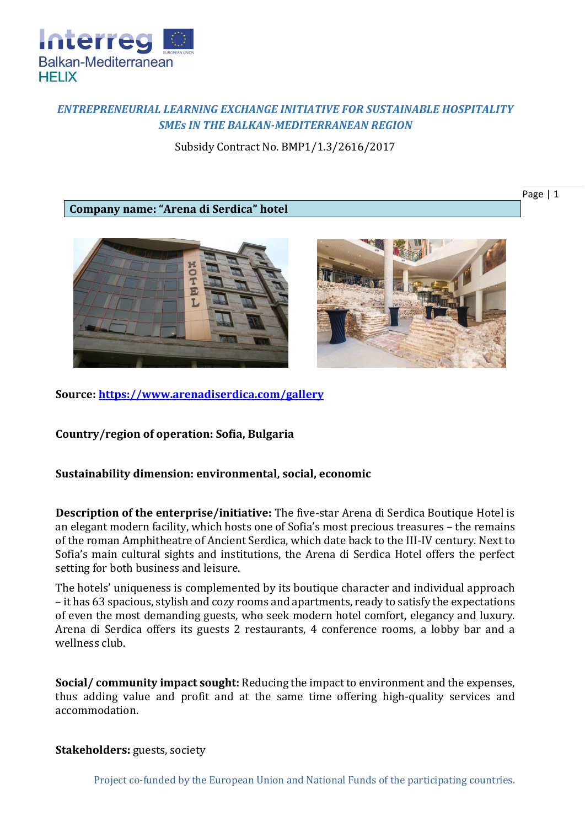

# *ENTREPRENEURIAL LEARNING EXCHANGE INITIATIVE FOR SUSTAINABLE HOSPITALITY SMEs IN THE BALKAN-MEDITERRANEAN REGION*

Subsidy Contract No. BMP1/1.3/2616/2017

## **Company name: "Arena di Serdica" hotel**



**Source:<https://www.arenadiserdica.com/gallery>**

**Country/region of operation: Sofia, Bulgaria**

### **Sustainability dimension: environmental, social, economic**

**Description of the enterprise/initiative:** The five-star Arena di Serdica Boutique Hotel is an elegant modern facility, which hosts one of Sofia's most precious treasures – the remains of the roman Amphitheatre of Ancient Serdica, which date back to the III-IV century. Next to Sofia's main cultural sights and institutions, the Arena di Serdica Hotel offers the perfect setting for both business and leisure.

The hotels' uniqueness is complemented by its boutique character and individual approach – it has 63 spacious, stylish and cozy rooms and apartments, ready to satisfy the expectations of even the most demanding guests, who seek modern hotel comfort, elegancy and luxury. Arena di Serdica offers its guests 2 restaurants, 4 conference rooms, a lobby bar and a wellness club.

**Social/ community impact sought:** Reducing the impact to environment and the expenses, thus adding value and profit and at the same time offering high-quality services and accommodation.

#### **Stakeholders:** guests, society

Project co-funded by the European Union and National Funds of the participating countries.